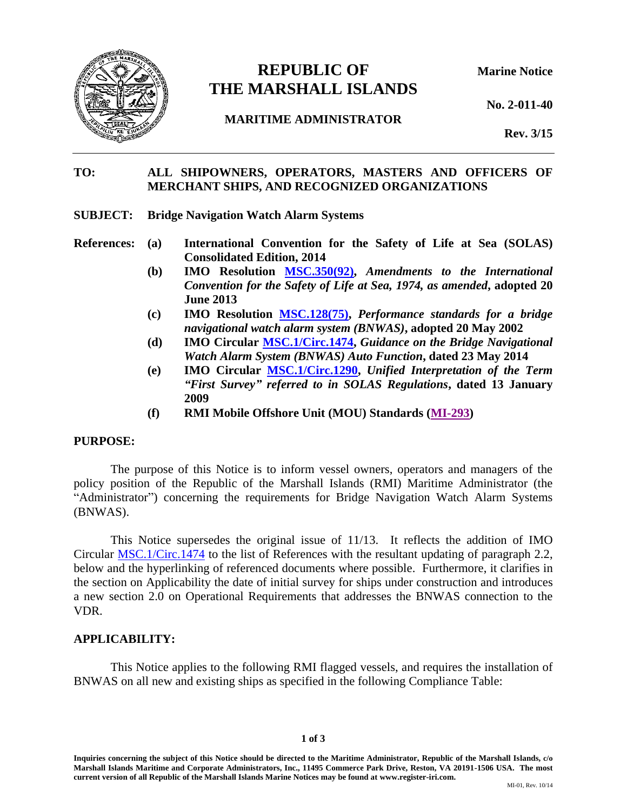

# **REPUBLIC OF Marine Notice THE MARSHALL ISLANDS**

**MARITIME ADMINISTRATOR**

**No. 2-011-40**

**Rev. 3/15**

#### **TO: ALL SHIPOWNERS, OPERATORS, MASTERS AND OFFICERS OF MERCHANT SHIPS, AND RECOGNIZED ORGANIZATIONS**

- **SUBJECT: Bridge Navigation Watch Alarm Systems**
- **References: (a) International Convention for the Safety of Life at Sea (SOLAS) Consolidated Edition, 2014**
	- **(b) IMO Resolution [MSC.350\(92\),](https://www.register-iri.com/wp-content/uploads/MSC_Resolution_35092.pdf)** *Amendments to the International Convention for the Safety of Life at Sea, 1974, as amended***, adopted 20 June 2013**
	- **(c) IMO Resolution [MSC.128\(75\),](https://www.register-iri.com/wp-content/uploads/MSC_Resolution_12875.pdf)** *Performance standards for a bridge navigational watch alarm system (BNWAS)***, adopted 20 May 2002**
	- **(d) IMO Circular [MSC.1/Circ.1474,](https://www.register-iri.com/wp-content/uploads/MSC.1-Circ.1474.pdf)** *Guidance on the Bridge Navigational Watch Alarm System (BNWAS) Auto Function***, dated 23 May 2014**
	- **(e) IMO Circular [MSC.1/Circ.1290,](https://www.register-iri.com/wp-content/uploads/MSC.1-Circ.1290.pdf)** *Unified Interpretation of the Term "First Survey" referred to in SOLAS Regulations***, dated 13 January 2009**
	- **(f) RMI Mobile Offshore Unit (MOU) Standards [\(MI-293\)](http://www.register-iri.com/forms/upload/MI-293.pdf)**

#### **PURPOSE:**

The purpose of this Notice is to inform vessel owners, operators and managers of the policy position of the Republic of the Marshall Islands (RMI) Maritime Administrator (the "Administrator") concerning the requirements for Bridge Navigation Watch Alarm Systems (BNWAS).

This Notice supersedes the original issue of 11/13. It reflects the addition of IMO Circular [MSC.1/Circ.1474](https://www.register-iri.com/wp-content/uploads/MSC.1-Circ.1474.pdf) to the list of References with the resultant updating of paragraph 2.2, below and the hyperlinking of referenced documents where possible. Furthermore, it clarifies in the section on Applicability the date of initial survey for ships under construction and introduces a new section 2.0 on Operational Requirements that addresses the BNWAS connection to the VDR.

#### **APPLICABILITY:**

This Notice applies to the following RMI flagged vessels, and requires the installation of BNWAS on all new and existing ships as specified in the following Compliance Table: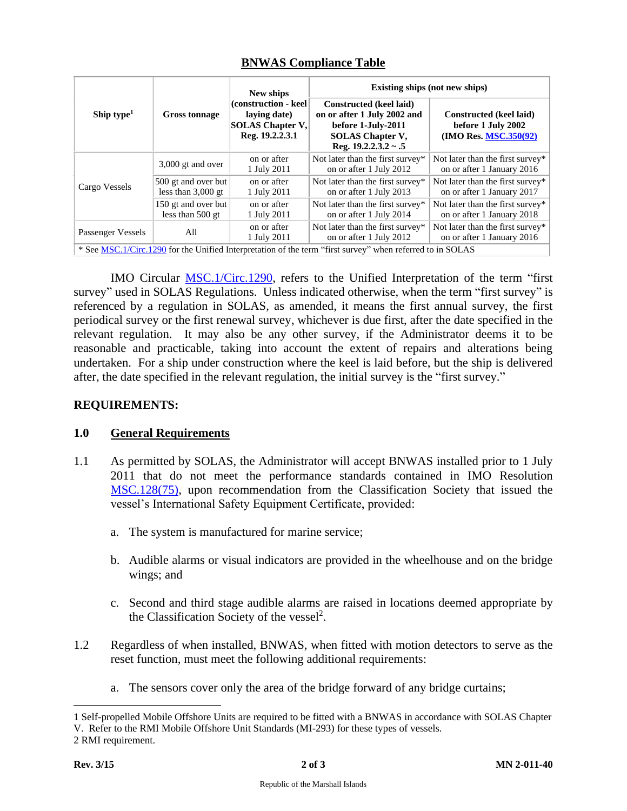| Ship type $1$                                                                                             | <b>Gross tonnage</b>                        | New ships<br>(construction - keel)<br>laying date)<br><b>SOLAS Chapter V.</b><br>Reg. 19.2.2.3.1 | Existing ships (not new ships)                                                                                                       |                                                                        |
|-----------------------------------------------------------------------------------------------------------|---------------------------------------------|--------------------------------------------------------------------------------------------------|--------------------------------------------------------------------------------------------------------------------------------------|------------------------------------------------------------------------|
|                                                                                                           |                                             |                                                                                                  | Constructed (keel laid)<br>on or after 1 July 2002 and<br>before 1-July-2011<br><b>SOLAS Chapter V.</b><br>Reg. $19.2.2.3.2 \sim .5$ | Constructed (keel laid)<br>before 1 July 2002<br>(IMO Res. MSC.350(92) |
| Cargo Vessels                                                                                             | $3,000$ gt and over                         | on or after<br>1 July 2011                                                                       | Not later than the first survey*<br>on or after 1 July 2012                                                                          | Not later than the first survey*<br>on or after 1 January 2016         |
|                                                                                                           | 500 gt and over but<br>less than $3,000$ gt | on or after<br>1 July 2011                                                                       | Not later than the first survey*<br>on or after 1 July 2013                                                                          | Not later than the first survey*<br>on or after 1 January 2017         |
|                                                                                                           | 150 gt and over but<br>less than $500$ gt   | on or after<br>1 July 2011                                                                       | Not later than the first survey*<br>on or after 1 July 2014                                                                          | Not later than the first survey*<br>on or after 1 January 2018         |
| Passenger Vessels                                                                                         | All                                         | on or after<br>1 July 2011                                                                       | Not later than the first survey*<br>on or after 1 July 2012                                                                          | Not later than the first survey*<br>on or after 1 January 2016         |
| * See MSC.1/Circ.1290 for the Unified Interpretation of the term "first survey" when referred to in SOLAS |                                             |                                                                                                  |                                                                                                                                      |                                                                        |

### **BNWAS Compliance Table**

IMO Circular [MSC.1/Circ.1290,](https://www.register-iri.com/wp-content/uploads/MSC.1-Circ.1290.pdf) refers to the Unified Interpretation of the term "first survey" used in SOLAS Regulations. Unless indicated otherwise, when the term "first survey" is referenced by a regulation in SOLAS, as amended, it means the first annual survey, the first periodical survey or the first renewal survey, whichever is due first, after the date specified in the relevant regulation. It may also be any other survey, if the Administrator deems it to be reasonable and practicable, taking into account the extent of repairs and alterations being undertaken. For a ship under construction where the keel is laid before, but the ship is delivered after, the date specified in the relevant regulation, the initial survey is the "first survey."

## **REQUIREMENTS:**

### **1.0 General Requirements**

- 1.1 As permitted by SOLAS, the Administrator will accept BNWAS installed prior to 1 July 2011 that do not meet the performance standards contained in IMO Resolution [MSC.128\(75\),](https://www.register-iri.com/wp-content/uploads/MSC_Resolution_12875.pdf) upon recommendation from the Classification Society that issued the vessel's International Safety Equipment Certificate, provided:
	- a. The system is manufactured for marine service;
	- b. Audible alarms or visual indicators are provided in the wheelhouse and on the bridge wings; and
	- c. Second and third stage audible alarms are raised in locations deemed appropriate by the Classification Society of the vessel<sup>2</sup>.
- 1.2 Regardless of when installed, BNWAS, when fitted with motion detectors to serve as the reset function, must meet the following additional requirements:
	- a. The sensors cover only the area of the bridge forward of any bridge curtains;

<sup>1</sup> Self-propelled Mobile Offshore Units are required to be fitted with a BNWAS in accordance with SOLAS Chapter V. Refer to the RMI Mobile Offshore Unit Standards (MI-293) for these types of vessels.

<sup>2</sup> RMI requirement.